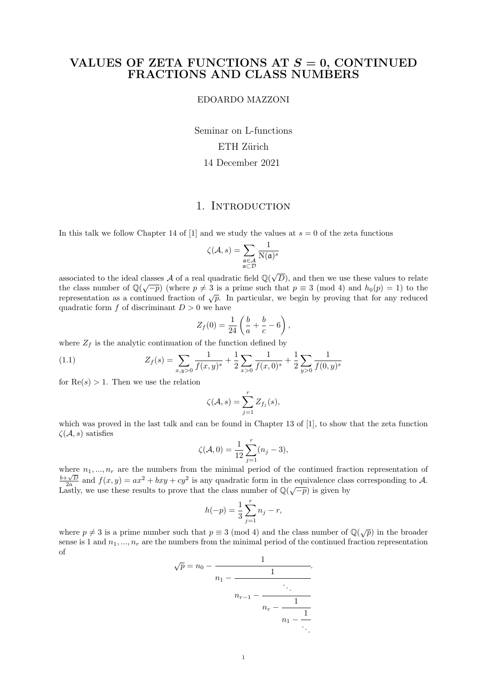### VALUES OF ZETA FUNCTIONS AT  $S = 0$ , CONTINUED FRACTIONS AND CLASS NUMBERS

EDOARDO MAZZONI

Seminar on L-functions ETH Zürich 14 December 2021

# 1. INTRODUCTION

In this talk we follow Chapter 14 of [1] and we study the values at  $s = 0$  of the zeta functions

$$
\zeta(\mathcal{A},s) = \sum_{\substack{\mathfrak{a} \in \mathcal{A} \\ \mathfrak{a} \subset \mathcal{D}}} \frac{1}{\mathrm{N}(\mathfrak{a})^s}
$$

associated to the ideal classes  $\mathcal A$  of a real quadratic field  $\mathbb Q(\sqrt{\pi})$ classes A of a real quadratic field  $\mathbb{Q}(\sqrt{D})$ , and then we use these values to relate the class number of  $\mathbb{Q}(\sqrt{-p})$  (where  $p \neq 3$  is a prime such that  $p \equiv 3 \pmod{4}$  and  $h_0(p) = 1$ ) to the representation as a continued fraction of  $\sqrt{p}$ . In particular, we begin by proving that for any reduced quadratic form  $f$  of discriminant  $D > 0$  we have

$$
Z_f(0) = \frac{1}{24} \left( \frac{b}{a} + \frac{b}{c} - 6 \right),
$$

where  $Z_f$  is the analytic continuation of the function defined by

(1.1) 
$$
Z_f(s) = \sum_{x,y>0} \frac{1}{f(x,y)^s} + \frac{1}{2} \sum_{x>0} \frac{1}{f(x,0)^s} + \frac{1}{2} \sum_{y>0} \frac{1}{f(0,y)^s}
$$

for  $\text{Re}(s) > 1$ . Then we use the relation

$$
\zeta(\mathcal{A},s) = \sum_{j=1}^r Z_{f_j}(s),
$$

which was proved in the last talk and can be found in Chapter 13 of [1], to show that the zeta function  $\zeta(\mathcal{A},s)$  satisfies

$$
\zeta(\mathcal{A}, 0) = \frac{1}{12} \sum_{j=1}^{r} (n_j - 3),
$$

where  $n_1, ..., n_r$  are the numbers from the minimal period of the continued fraction representation of  $\frac{b+\sqrt{D}}{2a}$  and  $f(x,y) = ax^2 + bxy + cy^2$  is any quadratic form in the equivalence class corresponding to A. Lastly, we use these results to prove that the class number of  $\mathbb{Q}(\sqrt{-p})$  is given by

$$
h(-p) = \frac{1}{3} \sum_{j=1}^{r} n_j - r,
$$

where  $p \neq 3$  is a prime number such that  $p \equiv 3 \pmod{4}$  and the class number of  $\mathbb{Q}(\sqrt{p})$  in the broader sense is 1 and  $n_1, ..., n_r$  are the numbers from the minimal period of the continued fraction representation of

$$
\sqrt{p} = n_0 - \cfrac{1}{n_1 - \cfrac{1}{n_{r-1} - \cfrac{1}{n_r - \cfrac{1}{n_1 - \cfrac{1}{\ddots}}}}}
$$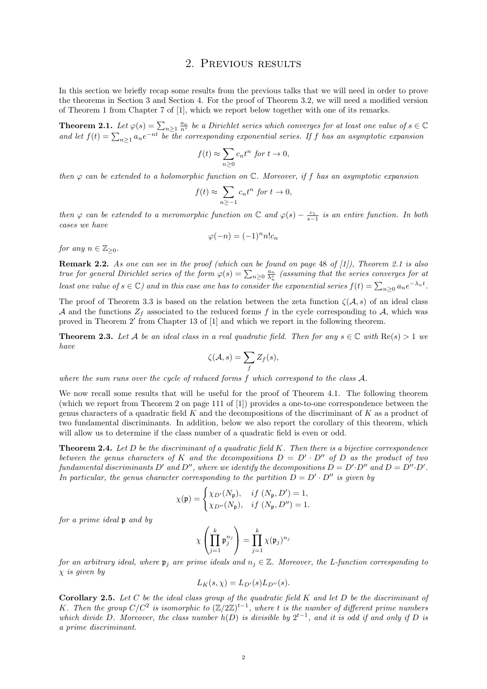#### 2. Previous results

In this section we briefly recap some results from the previous talks that we will need in order to prove the theorems in Section 3 and Section 4. For the proof of Theorem 3.2, we will need a modified version of Theorem 1 from Chapter 7 of [1], which we report below together with one of its remarks.

**Theorem 2.1.** Let  $\varphi(s) = \sum_{n\geq 1} \frac{a_n}{n^s}$  be a Dirichlet series which converges for at least one value of  $s \in \mathbb{C}$ and let  $f(t) = \sum_{n\geq 1} a_n e^{-nt}$  be the corresponding exponential series. If f has an asymptotic expansion

$$
f(t) \approx \sum_{n\geq 0} c_n t^n \text{ for } t \to 0,
$$

then  $\varphi$  can be extended to a holomorphic function on  $\mathbb{C}$ . Moreover, if f has an asymptotic expansion

$$
f(t) \approx \sum_{n \ge -1} c_n t^n \text{ for } t \to 0,
$$

then  $\varphi$  can be extended to a meromorphic function on  $\mathbb C$  and  $\varphi(s) - \frac{c_1}{s-1}$  is an entire function. In both cases we have

$$
\varphi(-n) = (-1)^n n! c_n
$$

for any  $n \in \mathbb{Z}_{\geq 0}$ .

**Remark 2.2.** As one can see in the proof (which can be found on page 48 of  $[1]$ ), Theorem 2.1 is also true for general Dirichlet series of the form  $\varphi(s) = \sum_{n\geq 0} \frac{a_n}{\lambda_n^s}$  (assuming that the series converges for at least one value of  $s \in \mathbb{C}$ ) and in this case one has to consider the exponential series  $f(t) = \sum_{n\geq 0} a_n e^{-\lambda_n t}$ .

The proof of Theorem 3.3 is based on the relation between the zeta function  $\zeta(\mathcal{A}, s)$  of an ideal class A and the functions  $Z_f$  associated to the reduced forms f in the cycle corresponding to A, which was proved in Theorem 2' from Chapter 13 of [1] and which we report in the following theorem.

**Theorem 2.3.** Let A be an ideal class in a real quadratic field. Then for any  $s \in \mathbb{C}$  with  $\text{Re}(s) > 1$  we have

$$
\zeta(\mathcal{A},s) = \sum_{f} Z_{f}(s),
$$

where the sum runs over the cycle of reduced forms f which correspond to the class A.

We now recall some results that will be useful for the proof of Theorem 4.1. The following theorem (which we report from Theorem 2 on page 111 of [1]) provides a one-to-one correspondence between the genus characters of a quadratic field  $K$  and the decompositions of the discriminant of  $K$  as a product of two fundamental discriminants. In addition, below we also report the corollary of this theorem, which will allow us to determine if the class number of a quadratic field is even or odd.

**Theorem 2.4.** Let  $D$  be the discriminant of a quadratic field  $K$ . Then there is a bijective correspondence between the genus characters of K and the decompositions  $D = D' \cdot D''$  of D as the product of two fundamental discriminants D' and D'', where we identify the decompositions  $D = D' \cdot D''$  and  $D = D'' \cdot D'$ . In particular, the genus character corresponding to the partition  $D = D' \cdot D''$  is given by

$$
\chi(\mathfrak{p}) = \begin{cases} \chi_{D'}(N_{\mathfrak{p}}), & if \ (N_{\mathfrak{p}}, D') = 1, \\ \chi_{D''}(N_{\mathfrak{p}}), & if \ (N_{\mathfrak{p}}, D'') = 1. \end{cases}
$$

for a prime ideal p and by

$$
\chi\left(\prod_{j=1}^k \mathfrak{p}_j^{n_j}\right) = \prod_{j=1}^k \chi(\mathfrak{p}_j)^{n_j}
$$

for an arbitrary ideal, where  $\mathfrak{p}_i$  are prime ideals and  $n_i \in \mathbb{Z}$ . Moreover, the L-function corresponding to  $\chi$  is given by

$$
L_K(s,\chi) = L_{D'}(s)L_{D''}(s).
$$

**Corollary 2.5.** Let  $C$  be the ideal class group of the quadratic field  $K$  and let  $D$  be the discriminant of K. Then the group  $C/C^2$  is isomorphic to  $(\mathbb{Z}/2\mathbb{Z})^{t-1}$ , where t is the number of different prime numbers which divide D. Moreover, the class number  $h(D)$  is divisible by  $2^{t-1}$ , and it is odd if and only if D is a prime discriminant.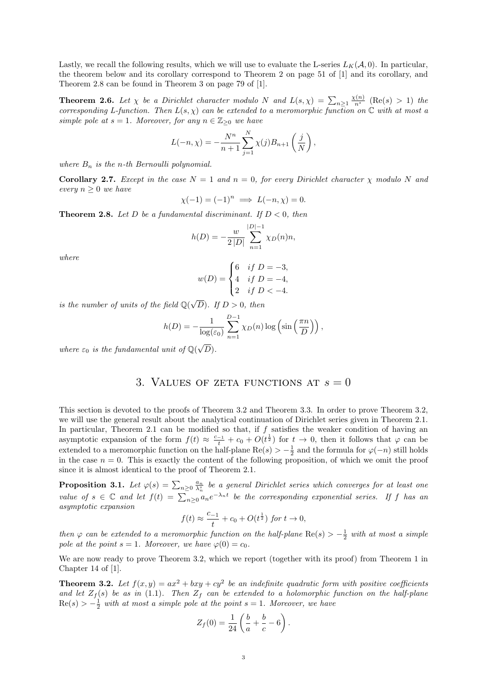Lastly, we recall the following results, which we will use to evaluate the L-series  $L_K(\mathcal{A}, 0)$ . In particular, the theorem below and its corollary correspond to Theorem 2 on page 51 of [1] and its corollary, and Theorem 2.8 can be found in Theorem 3 on page 79 of [1].

**Theorem 2.6.** Let  $\chi$  be a Dirichlet character modulo N and  $L(s,\chi) = \sum_{n\geq 1} \frac{\chi(n)}{n^s}$  (Re(s) > 1) the corresponding L-function. Then  $L(s, \chi)$  can be extended to a meromorphic function on  $\mathbb C$  with at most a simple pole at  $s = 1$ . Moreover, for any  $n \in \mathbb{Z}_{\geq 0}$  we have

$$
L(-n, \chi) = -\frac{N^n}{n+1} \sum_{j=1}^{N} \chi(j) B_{n+1} \left( \frac{j}{N} \right),
$$

where  $B_n$  is the n-th Bernoulli polynomial.

Corollary 2.7. Except in the case  $N = 1$  and  $n = 0$ , for every Dirichlet character  $\chi$  modulo N and every  $n \geq 0$  we have

$$
\chi(-1) = (-1)^n \implies L(-n, \chi) = 0.
$$

**Theorem 2.8.** Let D be a fundamental discriminant. If  $D < 0$ , then

$$
h(D) = -\frac{w}{2|D|} \sum_{n=1}^{|D|-1} \chi_D(n)n,
$$

where

$$
w(D) = \begin{cases} 6 & if \ D = -3, \\ 4 & if \ D = -4, \\ 2 & if \ D < -4. \end{cases}
$$

is the number of units of the field  $\mathbb{Q}(\sqrt{\mathbb{Z}})$ D). If  $D > 0$ , then

$$
h(D) = -\frac{1}{\log(\varepsilon_0)} \sum_{n=1}^{D-1} \chi_D(n) \log \left( \sin \left( \frac{\pi n}{D} \right) \right),
$$

where  $\varepsilon_0$  is the fundamental unit of  $\mathbb{Q}(\sqrt{\varepsilon})$  $D).$ 

#### 3. VALUES OF ZETA FUNCTIONS AT  $s = 0$

This section is devoted to the proofs of Theorem 3.2 and Theorem 3.3. In order to prove Theorem 3.2, we will use the general result about the analytical continuation of Dirichlet series given in Theorem 2.1. In particular, Theorem 2.1 can be modified so that, if  $f$  satisfies the weaker condition of having an asymptotic expansion of the form  $f(t) \approx \frac{c_{-1}}{t} + c_0 + O(t^{\frac{1}{2}})$  for  $t \to 0$ , then it follows that  $\varphi$  can be extended to a meromorphic function on the half-plane  $\text{Re}(s) > -\frac{1}{2}$  and the formula for  $\varphi(-n)$  still holds in the case  $n = 0$ . This is exactly the content of the following proposition, of which we omit the proof since it is almost identical to the proof of Theorem 2.1.

**Proposition 3.1.** Let  $\varphi(s) = \sum_{n\geq 0} \frac{a_n}{\lambda_n^s}$  be a general Dirichlet series which converges for at least one value of  $s \in \mathbb{C}$  and let  $f(t) = \sum_{n\geq 0} a_n e^{-\lambda_n t}$  be the corresponding exponential series. If f has an asymptotic expansion

$$
f(t) \approx \frac{c_{-1}}{t} + c_0 + O(t^{\frac{1}{2}}) \text{ for } t \to 0,
$$

then  $\varphi$  can be extended to a meromorphic function on the half-plane  $\text{Re}(s) > -\frac{1}{2}$  with at most a simple pole at the point  $s = 1$ . Moreover, we have  $\varphi(0) = c_0$ .

We are now ready to prove Theorem 3.2, which we report (together with its proof) from Theorem 1 in Chapter 14 of [1].

**Theorem 3.2.** Let  $f(x, y) = ax^2 + bxy + cy^2$  be an indefinite quadratic form with positive coefficients and let  $Z_f(s)$  be as in (1.1). Then  $Z_f$  can be extended to a holomorphic function on the half-plane  $Re(s) > -\frac{1}{2}$  with at most a simple pole at the point  $s = 1$ . Moreover, we have

$$
Z_f(0) = \frac{1}{24} \left( \frac{b}{a} + \frac{b}{c} - 6 \right).
$$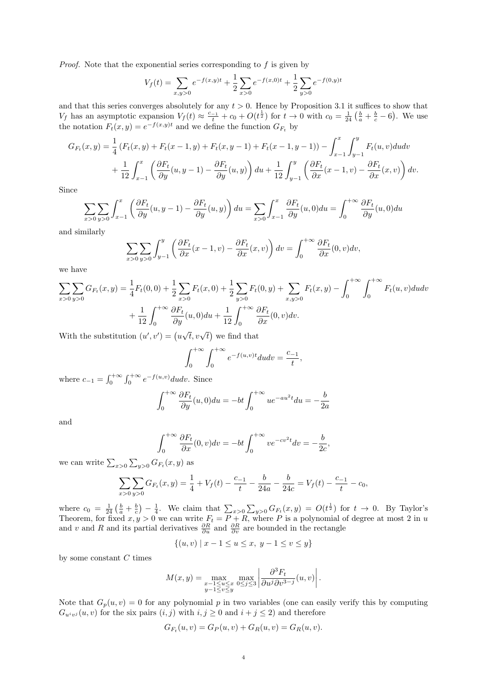Proof. Note that the exponential series corresponding to f is given by

$$
V_f(t) = \sum_{x,y>0} e^{-f(x,y)t} + \frac{1}{2} \sum_{x>0} e^{-f(x,0)t} + \frac{1}{2} \sum_{y>0} e^{-f(0,y)t}
$$

and that this series converges absolutely for any  $t > 0$ . Hence by Proposition 3.1 it suffices to show that  $V_f$  has an asymptotic expansion  $V_f(t) \approx \frac{c_{-1}}{t} + c_0 + O(t^{\frac{1}{2}})$  for  $t \to 0$  with  $c_0 = \frac{1}{24} \left(\frac{b}{a} + \frac{b}{c} - 6\right)$ . We use the notation  $F_t(x, y) = e^{-f(x, y)t}$  and we define the function  $G_{F_t}$  by

$$
G_{F_t}(x,y) = \frac{1}{4} \left( F_t(x,y) + F_t(x-1,y) + F_t(x,y-1) + F_t(x-1,y-1) \right) - \int_{x-1}^x \int_{y-1}^y F_t(u,v) du dv + \frac{1}{12} \int_{x-1}^x \left( \frac{\partial F_t}{\partial y}(u,y-1) - \frac{\partial F_t}{\partial y}(u,y) \right) du + \frac{1}{12} \int_{y-1}^y \left( \frac{\partial F_t}{\partial x}(x-1,v) - \frac{\partial F_t}{\partial x}(x,v) \right) dv.
$$

Since

$$
\sum_{x>0} \sum_{y>0} \int_{x-1}^x \left( \frac{\partial F_t}{\partial y}(u, y-1) - \frac{\partial F_t}{\partial y}(u, y) \right) du = \sum_{x>0} \int_{x-1}^x \frac{\partial F_t}{\partial y}(u, 0) du = \int_0^{+\infty} \frac{\partial F_t}{\partial y}(u, 0) du
$$

and similarly

$$
\sum_{x>0}\sum_{y>0}\int_{y-1}^{y}\left(\frac{\partial F_t}{\partial x}(x-1,v)-\frac{\partial F_t}{\partial x}(x,v)\right)dv=\int_0^{+\infty}\frac{\partial F_t}{\partial x}(0,v)dv,
$$

we have

$$
\sum_{x>0} \sum_{y>0} G_{F_t}(x, y) = \frac{1}{4} F_t(0, 0) + \frac{1}{2} \sum_{x>0} F_t(x, 0) + \frac{1}{2} \sum_{y>0} F_t(0, y) + \sum_{x,y>0} F_t(x, y) - \int_0^{+\infty} \int_0^{+\infty} F_t(u, v) du dv + \frac{1}{12} \int_0^{+\infty} \frac{\partial F_t}{\partial y}(u, 0) du + \frac{1}{12} \int_0^{+\infty} \frac{\partial F_t}{\partial x}(0, v) dv.
$$

With the substitution  $(u', v') = (u$  $\sqrt{t}$ ,  $v\sqrt{t}$ ) we find that

$$
\int_0^{+\infty} \int_0^{+\infty} e^{-f(u,v)t} du dv = \frac{c_{-1}}{t},
$$

where  $c_{-1} = \int_0^{+\infty} \int_0^{+\infty} e^{-f(u,v)} du dv$ . Since

$$
\int_0^{+\infty} \frac{\partial F_t}{\partial y}(u,0) du = -bt \int_0^{+\infty} ue^{-au^2t} du = -\frac{b}{2a}
$$

and

$$
\int_0^{+\infty} \frac{\partial F_t}{\partial x}(0, v) dv = -bt \int_0^{+\infty} v e^{-cv^2t} dv = -\frac{b}{2c},
$$

we can write  $\sum_{x>0}\sum_{y>0}G_{F_t}(x, y)$  as

$$
\sum_{x>0} \sum_{y>0} G_{F_t}(x, y) = \frac{1}{4} + V_f(t) - \frac{c_{-1}}{t} - \frac{b}{24a} - \frac{b}{24c} = V_f(t) - \frac{c_{-1}}{t} - c_0,
$$

where  $c_0 = \frac{1}{24} \left( \frac{b}{a} + \frac{b}{c} \right) - \frac{1}{4}$ . We claim that  $\sum_{x>0} \sum_{y>0} G_{F_t}(x, y) = O(t^{\frac{1}{2}})$  for  $t \to 0$ . By Taylor's Theorem, for fixed  $x, y > 0$  we can write  $F_t = P + R$ , where P is a polynomial of degree at most 2 in u and v and R and its partial derivatives  $\frac{\partial R}{\partial u}$  and  $\frac{\partial R}{\partial v}$  are bounded in the rectangle

$$
\{(u, v) \mid x - 1 \le u \le x, \ y - 1 \le v \le y\}
$$

by some constant  $C$  times

$$
M(x,y) = \max_{\substack{x-1 \le u \le x \\ y-1 \le v \le y}} \max_{0 \le j \le 3} \left| \frac{\partial^3 F_t}{\partial u^j \partial v^{3-j}}(u,v) \right|.
$$

Note that  $G_p(u, v) = 0$  for any polynomial p in two variables (one can easily verify this by computing  $G_{u^i v^j}(u, v)$  for the six pairs  $(i, j)$  with  $i, j \geq 0$  and  $i + j \leq 2$ ) and therefore

$$
G_{F_t}(u, v) = G_P(u, v) + G_R(u, v) = G_R(u, v).
$$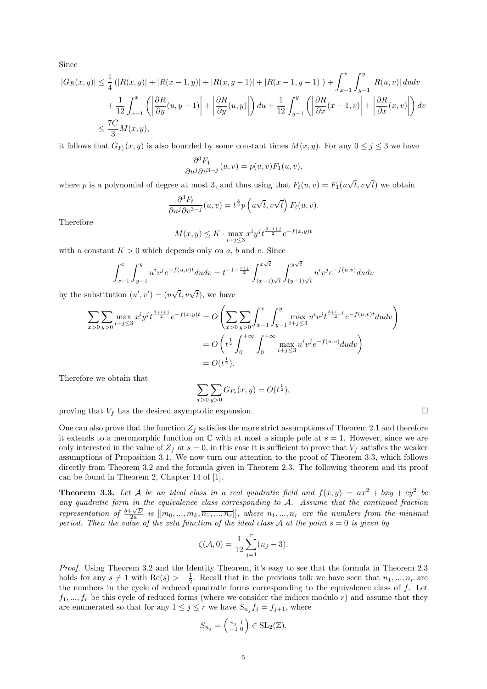Since

$$
|G_R(x,y)| \leq \frac{1}{4} (|R(x,y)| + |R(x-1,y)| + |R(x,y-1)| + |R(x-1,y-1)|) + \int_{x-1}^x \int_{y-1}^y |R(u,v)| du dv
$$
  
+ 
$$
\frac{1}{12} \int_{x-1}^x \left( \left| \frac{\partial R}{\partial y}(u,y-1) \right| + \left| \frac{\partial R}{\partial y}(u,y) \right| \right) du + \frac{1}{12} \int_{y-1}^y \left( \left| \frac{\partial R}{\partial x}(x-1,v) \right| + \left| \frac{\partial R}{\partial x}(x,v) \right| \right) dv
$$
  

$$
\leq \frac{7C}{3} M(x,y),
$$

it follows that  $G_{F_t}(x, y)$  is also bounded by some constant times  $M(x, y)$ . For any  $0 \le j \le 3$  we have

$$
\frac{\partial^3 F_1}{\partial u^j \partial v^{3-j}}(u,v) = p(u,v)F_1(u,v),
$$

where p is a polynomial of degree at most 3, and thus using that  $F_t(u, v) = F_1(u)$  $\sqrt{t}, v\sqrt{t}$  we obtain

$$
\frac{\partial^3 F_t}{\partial u^j \partial v^{3-j}}(u,v) = t^{\frac{3}{2}} p\left(u\sqrt{t}, v\sqrt{t}\right) F_t(u,v).
$$

Therefore

$$
M(x, y) \le K \cdot \max_{i+j \le 3} x^i y^j t^{\frac{3+i+j}{2}} e^{-f(x, y)t}
$$

with a constant  $K > 0$  which depends only on a, b and c. Since

$$
\int_{x-1}^{x} \int_{y-1}^{y} u^{i}v^{j} e^{-f(u,v)t} du dv = t^{-1-\frac{i+j}{2}} \int_{(x-1)\sqrt{t}}^{x\sqrt{t}} \int_{(y-1)\sqrt{t}}^{y\sqrt{t}} u^{i}v^{j} e^{-f(u,v)} du dv
$$

by the substitution  $(u', v') = (u$  $\sqrt{t}, v\sqrt{t}$ , we have

$$
\sum_{x>0} \sum_{y>0} \max_{i+j\leq 3} x^i y^j t^{\frac{3+i+j}{2}} e^{-f(x,y)t} = O\left(\sum_{x>0} \sum_{y>0} \int_{x-1}^x \int_{y-1}^y \max_{i+j\leq 3} u^i v^j t^{\frac{3+i+j}{2}} e^{-f(u,v)t} du dv\right)
$$
  
=  $O\left(t^{\frac{1}{2}} \int_0^{+\infty} \int_0^{+\infty} \max_{i+j\leq 3} u^i v^j e^{-f(u,v)} du dv\right)$   
=  $O(t^{\frac{1}{2}}).$ 

Therefore we obtain that

$$
\sum_{x>0} \sum_{y>0} G_{F_t}(x, y) = O(t^{\frac{1}{2}}),
$$

proving that  $V_f$  has the desired asymptotic expansion.

One can also prove that the function  $Z_f$  satisfies the more strict assumptions of Theorem 2.1 and therefore it extends to a meromorphic function on  $\mathbb C$  with at most a simple pole at  $s = 1$ . However, since we are only interested in the value of  $Z_f$  at  $s = 0$ , in this case it is sufficient to prove that  $V_f$  satisfies the weaker assumptions of Proposition 3.1. We now turn our attention to the proof of Theorem 3.3, which follows directly from Theorem 3.2 and the formula given in Theorem 2.3. The following theorem and its proof can be found in Theorem 2, Chapter 14 of [1].

**Theorem 3.3.** Let A be an ideal class in a real quadratic field and  $f(x,y) = ax^2 + bxy + cy^2$  be any quadratic form in the equivalence class corresponding to A. Assume that the continued fraction representation of  $\frac{b+\sqrt{D}}{2a}$  is  $[[m_0, ..., m_k, \overline{n_1, ..., n_r}]],$  where  $n_1, ..., n_r$  are the numbers from the minimal period. Then the value of the zeta function of the ideal class A at the point  $s = 0$  is given by

$$
\zeta(\mathcal{A}, 0) = \frac{1}{12} \sum_{j=1}^{r} (n_j - 3).
$$

Proof. Using Theorem 3.2 and the Identity Theorem, it's easy to see that the formula in Theorem 2.3 holds for any  $s \neq 1$  with  $\text{Re}(s) > -\frac{1}{2}$ . Recall that in the previous talk we have seen that  $n_1, ..., n_r$  are the numbers in the cycle of reduced quadratic forms corresponding to the equivalence class of  $f$ . Let  $f_1, ..., f_r$  be this cycle of reduced forms (where we consider the indices modulo r) and assume that they are enumerated so that for any  $1 \leq j \leq r$  we have  $S_{n_j} f_j = f_{j+1}$ , where

$$
S_{n_j} = \left(\begin{smallmatrix} n_j & 1 \\ -1 & 0 \end{smallmatrix}\right) \in \text{SL}_2(\mathbb{Z}).
$$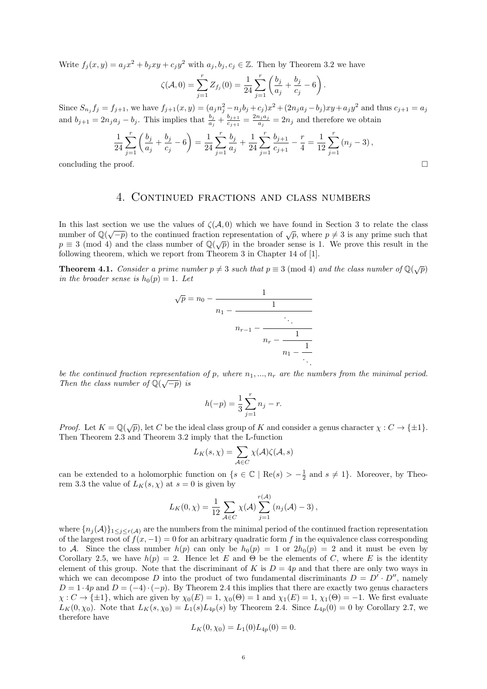Write  $f_j(x, y) = a_j x^2 + b_j xy + c_j y^2$  with  $a_j, b_j, c_j \in \mathbb{Z}$ . Then by Theorem 3.2 we have

$$
\zeta(\mathcal{A},0) = \sum_{j=1}^r Z_{f_j}(0) = \frac{1}{24} \sum_{j=1}^r \left( \frac{b_j}{a_j} + \frac{b_j}{c_j} - 6 \right).
$$

Since  $S_{n_j} f_j = f_{j+1}$ , we have  $f_{j+1}(x, y) = (a_j n_j^2 - n_j b_j + c_j)x^2 + (2n_j a_j - b_j)xy + a_j y^2$  and thus  $c_{j+1} = a_j$ and  $b_{j+1} = 2n_j a_j - b_j$ . This implies that  $\frac{b_j}{a_j} + \frac{b_{j+1}}{c_{j+1}}$  $\frac{b_{j+1}}{c_{j+1}} = \frac{2n_j a_j}{a_j}$  $\frac{i_j a_j}{a_j} = 2n_j$  and therefore we obtain

$$
\frac{1}{24} \sum_{j=1}^{r} \left( \frac{b_j}{a_j} + \frac{b_j}{c_j} - 6 \right) = \frac{1}{24} \sum_{j=1}^{r} \frac{b_j}{a_j} + \frac{1}{24} \sum_{j=1}^{r} \frac{b_{j+1}}{c_{j+1}} - \frac{r}{4} = \frac{1}{12} \sum_{j=1}^{r} (n_j - 3),
$$
  
concluding the proof.

#### 4. Continued fractions and class numbers

In this last section we use the values of  $\zeta(A,0)$  which we have found in Section 3 to relate the class number of  $\mathbb{Q}(\sqrt{-p})$  to the continued fraction representation of  $\sqrt{p}$ , where  $p \neq 3$  is any prime such that p = 3 (mod 4) and the class number of  $\mathbb{Q}(\sqrt{p})$  in the broader sense is 1. We prove this result in the following theorem, which we report from Theorem 3 in Chapter 14 of [1].

**Theorem 4.1.** Consider a prime number  $p \neq 3$  such that  $p \equiv 3 \pmod{4}$  and the class number of  $\mathbb{Q}(\sqrt{p})$ in the broader sense is  $h_0(p) = 1$ . Let

$$
\sqrt{p} = n_0 - \cfrac{1}{n_1 - \cfrac{1}{n_{r-1} - \cfrac{1}{n_r - \cfrac{1}{n_1 - \cfrac{1}{\ddots}}}}}
$$

be the continued fraction representation of p, where  $n_1, ..., n_r$  are the numbers from the minimal period. Then the class number of  $\mathbb{Q}(\sqrt{-p})$  is

$$
h(-p) = \frac{1}{3} \sum_{j=1}^{r} n_j - r.
$$

*Proof.* Let  $K = \mathbb{Q}(\sqrt{p})$ , let C be the ideal class group of K and consider a genus character  $\chi : C \to \{\pm 1\}$ . Then Theorem 2.3 and Theorem 3.2 imply that the L-function

$$
L_K(s,\chi)=\sum_{\mathcal{A}\in C}\chi(\mathcal{A})\zeta(\mathcal{A},s)
$$

can be extended to a holomorphic function on  $\{s \in \mathbb{C} \mid \text{Re}(s) > -\frac{1}{2} \text{ and } s \neq 1\}$ . Moreover, by Theorem 3.3 the value of  $L_K(s, \chi)$  at  $s = 0$  is given by

$$
L_K(0,\chi) = \frac{1}{12} \sum_{\mathcal{A}\in C} \chi(\mathcal{A}) \sum_{j=1}^{r(\mathcal{A})} (n_j(\mathcal{A}) - 3),
$$

where  ${n_i(\mathcal{A})}_1 \leq \leq r(\mathcal{A})$  are the numbers from the minimal period of the continued fraction representation of the largest root of  $f(x, -1) = 0$  for an arbitrary quadratic form f in the equivalence class corresponding to A. Since the class number  $h(p)$  can only be  $h_0(p) = 1$  or  $2h_0(p) = 2$  and it must be even by Corollary 2.5, we have  $h(p) = 2$ . Hence let E and  $\Theta$  be the elements of C, where E is the identity element of this group. Note that the discriminant of K is  $D = 4p$  and that there are only two ways in which we can decompose D into the product of two fundamental discriminants  $D = D' \cdot D''$ , namely  $D = 1 \cdot 4p$  and  $D = (-4) \cdot (-p)$ . By Theorem 2.4 this implies that there are exactly two genus characters  $\chi: C \to {\pm 1}$ , which are given by  $\chi_0(E) = 1$ ,  $\chi_0(\Theta) = 1$  and  $\chi_1(E) = 1$ ,  $\chi_1(\Theta) = -1$ . We first evaluate  $L_K(0, \chi_0)$ . Note that  $L_K(s, \chi_0) = L_1(s)L_{4p}(s)$  by Theorem 2.4. Since  $L_{4p}(0) = 0$  by Corollary 2.7, we therefore have

$$
L_K(0, \chi_0) = L_1(0)L_{4p}(0) = 0.
$$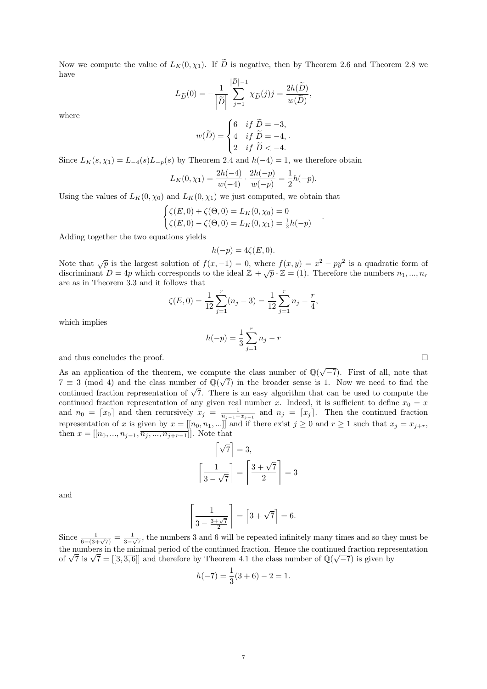Now we compute the value of  $L_K(0, \chi_1)$ . If  $\tilde{D}$  is negative, then by Theorem 2.6 and Theorem 2.8 we have

$$
L_{\widetilde{D}}(0) = -\frac{1}{\left|\widetilde{D}\right|} \sum_{j=1}^{\left|\widetilde{D}\right| - 1} \chi_{\widetilde{D}}(j) j = \frac{2h(\widetilde{D})}{w(\widetilde{D})},
$$

where

$$
w(\widetilde{D}) = \begin{cases} 6 & \text{if } \widetilde{D} = -3, \\ 4 & \text{if } \widetilde{D} = -4, \\ 2 & \text{if } \widetilde{D} < -4. \end{cases}
$$

Since  $L_K(s, \chi_1) = L_{-4}(s)L_{-p}(s)$  by Theorem 2.4 and  $h(-4) = 1$ , we therefore obtain

$$
L_K(0, \chi_1) = \frac{2h(-4)}{w(-4)} \cdot \frac{2h(-p)}{w(-p)} = \frac{1}{2}h(-p).
$$

Using the values of  $L_K(0, \chi_0)$  and  $L_K(0, \chi_1)$  we just computed, we obtain that

$$
\begin{cases} \zeta(E,0) + \zeta(\Theta,0) = L_K(0,\chi_0) = 0\\ \zeta(E,0) - \zeta(\Theta,0) = L_K(0,\chi_1) = \frac{1}{2}h(-p) \end{cases}
$$

Adding together the two equations yields

$$
h(-p) = 4\zeta(E, 0).
$$

Note that  $\sqrt{p}$  is the largest solution of  $f(x, -1) = 0$ , where  $f(x, y) = x^2 - py^2$  is a quadratic form of discriminant  $D = 4p$  which corresponds to the ideal  $\mathbb{Z} + \sqrt{p} \cdot \mathbb{Z} = (1)$ . Therefore the numbers  $n_1, ..., n_r$ are as in Theorem 3.3 and it follows that

$$
\zeta(E,0) = \frac{1}{12} \sum_{j=1}^{r} (n_j - 3) = \frac{1}{12} \sum_{j=1}^{r} n_j - \frac{r}{4},
$$

which implies

$$
h(-p) = \frac{1}{3} \sum_{j=1}^{r} n_j - r
$$

.

and thus concludes the proof.  $\Box$ 

As an application of the theorem, we compute the class number of  $\mathbb{Q}(\sqrt{-7})$ . First of all, note that  $7 \equiv 3 \pmod{4}$  and the class number of  $\mathbb{Q}(\sqrt{7})$  in the broader sense is 1. Now we need to find the  $\ell = 3 \pmod{4}$  and the class number of  $\mathbb{Q}(\sqrt{\ell})$  in the broader sense is 1. Now we need to find the continued fraction representation of  $\sqrt{7}$ . There is an easy algorithm that can be used to compute the continued fraction representation of any given real number x. Indeed, it is sufficient to define  $x_0 = x$ and  $n_0 = \lceil x_0 \rceil$  and then recursively  $x_j = \frac{1}{n_{j-1}-x_{j-1}}$  and  $n_j = \lceil x_j \rceil$ . Then the continued fraction representation of x is given by  $x = [[n_0, n_1, ...]]$  and if there exist  $j \ge 0$  and  $r \ge 1$  such that  $x_j = x_{j+r}$ , then  $x = [[n_0, ..., n_{j-1}, \overline{n_j, ..., n_{j+r-1}}]].$  Note that

$$
\left\lceil \sqrt{7} \right\rceil = 3,
$$

$$
\left\lceil \frac{1}{3 - \sqrt{7}} \right\rceil = \left\lceil \frac{3 + \sqrt{7}}{2} \right\rceil = 3
$$

and

$$
\left\lceil \frac{1}{3 - \frac{3 + \sqrt{7}}{2}} \right\rceil = \left\lceil 3 + \sqrt{7} \right\rceil = 6.
$$

Since  $\frac{1}{6-(3+\sqrt{7})} = \frac{1}{3-\sqrt{7}}$  $\frac{1}{3-\sqrt{7}}$ , the numbers 3 and 6 will be repeated infinitely many times and so they must be the numbers in the minimal period of the continued fraction. Hence the continued fraction representation the numbers in the minimal period of the continued fraction. Hence the continued fraction repress of  $\sqrt{7}$  is  $\sqrt{7} = [[3, \overline{3}, \overline{6}]]$  and therefore by Theorem 4.1 the class number of  $\mathbb{Q}(\sqrt{-7})$  is given by

$$
h(-7) = \frac{1}{3}(3+6) - 2 = 1.
$$